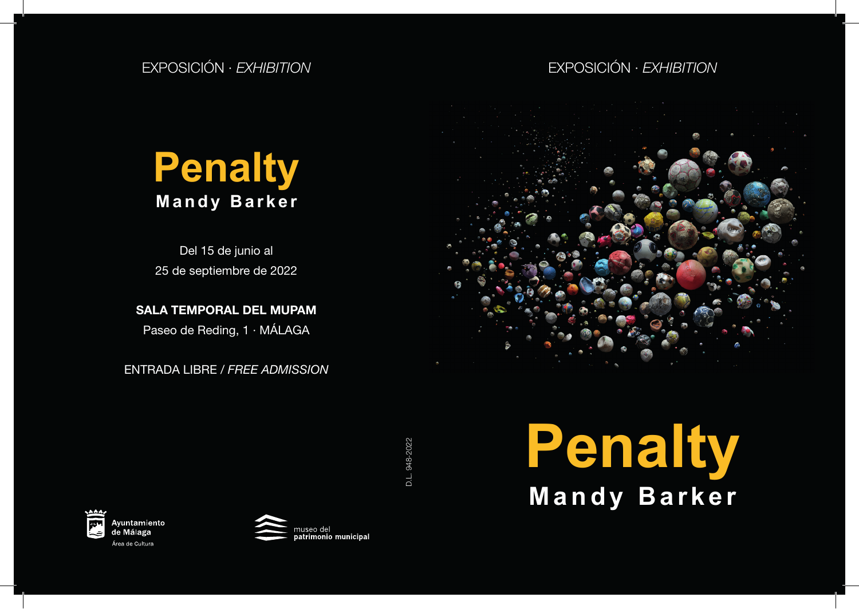## EXPOSICIÓN *· EXHIBITION* EXPOSICIÓN *· EXHIBITION*

## **Penalty Mandy Barker**

Del 15 de junio al 25 de septiembre de 2022

SALA TEMPORAL DEL MUPAM

Paseo de Reding, 1 · MÁLAGA

ENTRADA LIBRE / *FREE ADMISSION*



D.L. 948-2022 D.L. 948-2022





**Penalty Mandy Barker**